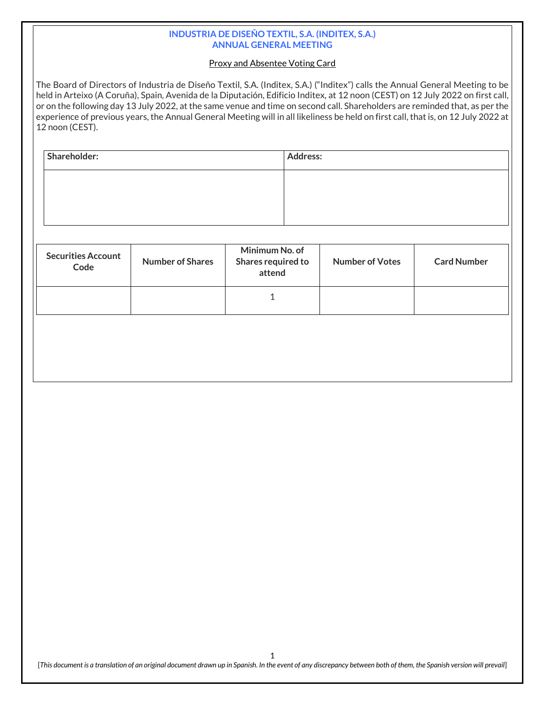### **INDUSTRIA DE DISEÑO TEXTIL, S.A. (INDITEX, S.A.) ANNUAL GENERAL MEETING**

### Proxy and Absentee Voting Card

The Board of Directors of Industria de Diseño Textil, S.A. (Inditex, S.A.) ("Inditex") calls the Annual General Meeting to be held in Arteixo (A Coruña), Spain, Avenida de la Diputación, Edificio Inditex, at 12 noon (CEST) on 12 July 2022 on first call, or on the following day 13 July 2022, at the same venue and time on second call. Shareholders are reminded that, as per the experience of previous years, the Annual General Meeting will in all likeliness be held on first call, that is, on 12 July 2022 at 12 noon (CEST).

| Shareholder: | <b>Address:</b> |
|--------------|-----------------|
|              |                 |
|              |                 |
|              |                 |

| <b>Securities Account</b><br>Code | <b>Number of Shares</b> | Minimum No. of<br>Shares required to<br>attend | <b>Number of Votes</b> | <b>Card Number</b> |  |  |
|-----------------------------------|-------------------------|------------------------------------------------|------------------------|--------------------|--|--|
|                                   |                         |                                                |                        |                    |  |  |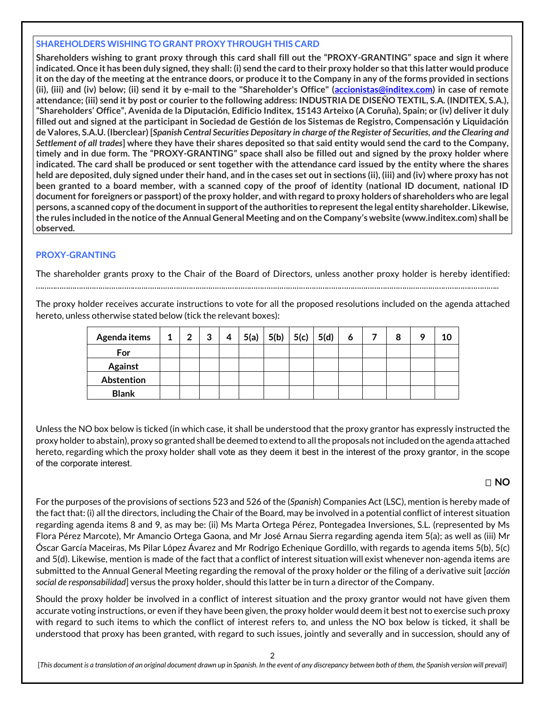### **SHAREHOLDERS WISHING TO GRANT PROXY THROUGH THIS CARD**

**Shareholders wishing to grant proxy through this card shall fill out the "PROXY-GRANTING" space and sign it where indicated. Once it has been duly signed, they shall: (i) send the card to their proxy holder so that this latter would produce it on the day of the meeting at the entrance doors, or produce it to the Company in any of the forms provided in sections (ii), (iii) and (iv) below; (ii) send it by e-mail to the "Shareholder's Office" [\(accionistas@inditex.com\)](file://Hermes/Direccion/ElisaRP/Elisa/traducciones/JUNTA/JUNTA%202021/accionistas@inditex.com) in case of remote**  attendance; (iii) send it by post or courier to the following address: **INDUSTRIA DE DISENO TEXTIL, S.A. (INDITEX, S.A.)**, **"Shareholders' Office", Avenida de la Diputación, Edificio Inditex, 15143 Arteixo (A Coruña), Spain; or (iv) deliver it duly filled out and signed at the participant in Sociedad de Gestión de los Sistemas de Registro, Compensación y Liquidación de Valores, S.A.U. (Iberclear) [***Spanish Central Securities Depositary in charge of the Register of Securities, and the Clearing and Settlement of all trades***] where they have their shares deposited so that said entity would send the card to the Company, timely and in due form. The "PROXY-GRANTING" space shall also be filled out and signed by the proxy holder where indicated. The card shall be produced or sent together with the attendance card issued by the entity where the shares held are deposited, duly signed under their hand, and in the cases set out in sections (ii), (iii) and (iv) where proxy has not been granted to a board member, with a scanned copy of the proof of identity (national ID document, national ID document for foreigners or passport) of the proxy holder, and with regard to proxy holders of shareholders who are legal persons, a scanned copy of the document in support of the authorities to represent the legal entity shareholder. Likewise, the rules included in the notice of the Annual General Meeting and on the Company's website (www.inditex.com) shall be observed.**

## **PROXY-GRANTING**

The shareholder grants proxy to the Chair of the Board of Directors, unless another proxy holder is hereby identified:

……………………………………………………………………………………………………………………………………………………………………………………………..

The proxy holder receives accurate instructions to vote for all the proposed resolutions included on the agenda attached hereto, unless otherwise stated below (tick the relevant boxes):

| Agenda items   | $\mathbf{1}$ | $\overline{2}$ | 3 | 4 | 5(a) | 5(b)   5(c) | 5(d) |  | 8 |  |
|----------------|--------------|----------------|---|---|------|-------------|------|--|---|--|
| For            |              |                |   |   |      |             |      |  |   |  |
| <b>Against</b> |              |                |   |   |      |             |      |  |   |  |
| Abstention     |              |                |   |   |      |             |      |  |   |  |
| <b>Blank</b>   |              |                |   |   |      |             |      |  |   |  |

Unless the NO box below is ticked (in which case, it shall be understood that the proxy grantor has expressly instructed the proxy holder to abstain), proxy so granted shall be deemed to extend to all the proposals not included on the agenda attached hereto, regarding which the proxy holder shall vote as they deem it best in the interest of the proxy grantor, in the scope of the corporate interest.

# **NO**

For the purposes of the provisions of sections 523 and 526 of the (*Spanish*) Companies Act (LSC), mention is hereby made of the fact that: (i) all the directors, including the Chair of the Board, may be involved in a potential conflict of interest situation regarding agenda items 8 and 9, as may be: (ii) Ms Marta Ortega Pérez, Pontegadea Inversiones, S.L. (represented by Ms Flora Pérez Marcote), Mr Amancio Ortega Gaona, and Mr José Arnau Sierra regarding agenda item 5(a); as well as (iii) Mr Óscar García Maceiras, Ms Pilar López Ávarez and Mr Rodrigo Echenique Gordillo, with regards to agenda items 5(b), 5(c) and 5(d). Likewise, mention is made of the fact that a conflict of interest situation will exist whenever non-agenda items are submitted to the Annual General Meeting regarding the removal of the proxy holder or the filing of a derivative suit [*acción social de responsabilidad*] versus the proxy holder, should this latter be in turn a director of the Company.

Should the proxy holder be involved in a conflict of interest situation and the proxy grantor would not have given them accurate voting instructions, or even if they have been given, the proxy holder would deem it best not to exercise such proxy with regard to such items to which the conflict of interest refers to, and unless the NO box below is ticked, it shall be understood that proxy has been granted, with regard to such issues, jointly and severally and in succession, should any of

2

[*This document is a translation of an original document drawn up in Spanish. In the event of any discrepancy between both of them, the Spanish version will prevail*]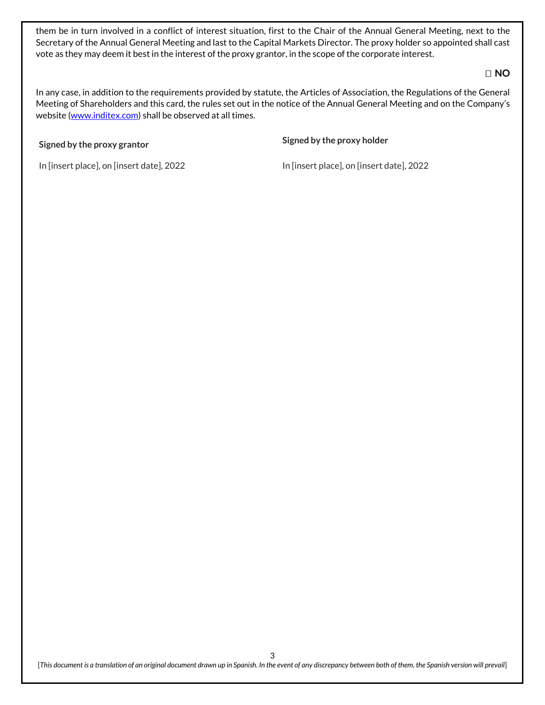them be in turn involved in a conflict of interest situation, first to the Chair of the Annual General Meeting, next to the Secretary of the Annual General Meeting and last to the Capital Markets Director. The proxy holder so appointed shall cast vote as they may deem it best in the interest of the proxy grantor, in the scope of the corporate interest.

## **NO**

In any case, in addition to the requirements provided by statute, the Articles of Association, the Regulations of the General Meeting of Shareholders and this card, the rules set out in the notice of the Annual General Meeting and on the Company's website [\(www.inditex.com\)](http://www.inditex.com/) shall be observed at all times.

# **Signed by the proxy grantor Signed by the proxy holder**

In [insert place], on [insert date], 2022 In [insert place], on [insert date], 2022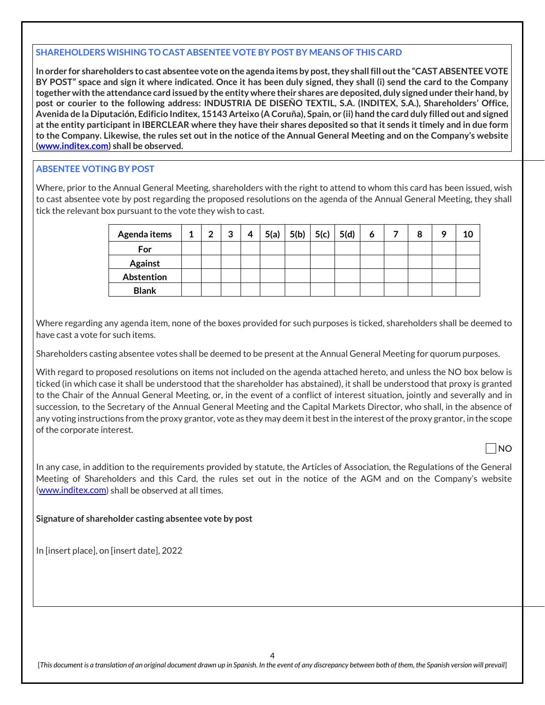#### **SHAREHOLDERS WISHING TO CAST ABSENTEE VOTE BY POST BY MEANS OF THIS CARD**

**In order for shareholders to cast absentee vote on the agenda items by post, they shall fill out the "CAST ABSENTEE VOTE BY POST" space and sign it where indicated. Once it has been duly signed, they shall (i) send the card to the Company together with the attendance card issued by the entity where their shares are deposited, duly signed under their hand, by post or courier to the following address: INDUSTRIA DE DISEÑO TEXTIL, S.A. (INDITEX, S.A.), Shareholders' Office, Avenida de la Diputación, Edificio Inditex, 15143 Arteixo (A Coruña), Spain, or (ii) hand the card duly filled out and signed at the entity participant in IBERCLEAR where they have their shares deposited so that it sends it timely and in due form to the Company. Likewise, the rules set out in the notice of the Annual General Meeting and on the Company's website [\(www.inditex.com\)](http://www.inditex.com/) shall be observed.**

### **ABSENTEE VOTING BY POST**

Where, prior to the Annual General Meeting, shareholders with the right to attend to whom this card has been issued, wish to cast absentee vote by post regarding the proposed resolutions on the agenda of the Annual General Meeting, they shall tick the relevant box pursuant to the vote they wish to cast.

| Agenda items   | 1 | 2 | 3 | 4 | 5(a)   5(b)   5(c) | 5(d) | 6 | 8 | a | 10 |
|----------------|---|---|---|---|--------------------|------|---|---|---|----|
| For            |   |   |   |   |                    |      |   |   |   |    |
| <b>Against</b> |   |   |   |   |                    |      |   |   |   |    |
| Abstention     |   |   |   |   |                    |      |   |   |   |    |
| <b>Blank</b>   |   |   |   |   |                    |      |   |   |   |    |

Where regarding any agenda item, none of the boxes provided for such purposes is ticked, shareholders shall be deemed to have cast a vote for such items.

Shareholders casting absentee votes shall be deemed to be present at the Annual General Meeting for quorum purposes.

With regard to proposed resolutions on items not included on the agenda attached hereto, and unless the NO box below is ticked (in which case it shall be understood that the shareholder has abstained), it shall be understood that proxy is granted to the Chair of the Annual General Meeting, or, in the event of a conflict of interest situation, jointly and severally and in succession, to the Secretary of the Annual General Meeting and the Capital Markets Director, who shall, in the absence of any voting instructions from the proxy grantor, vote as they may deem it best in the interest of the proxy grantor, in the scope of the corporate interest.

NO

In any case, in addition to the requirements provided by statute, the Articles of Association, the Regulations of the General Meeting of Shareholders and this Card, the rules set out in the notice of the AGM and on the Company's website [\(www.inditex.com\)](http://www.inditex.com/) shall be observed at all times.

### **Signature of shareholder casting absentee vote by post**

In [insert place], on [insert date], 2022

[*This document is a translation of an original document drawn up in Spanish. In the event of any discrepancy between both of them, the Spanish version will prevail*]